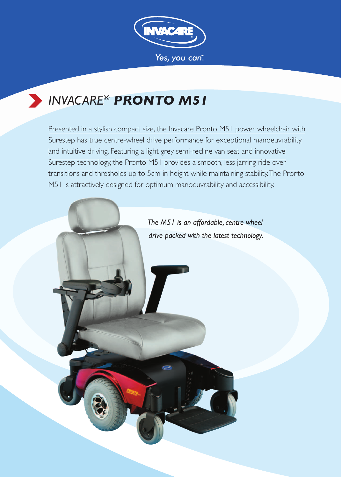

# *INVACARE® PRONTO M51*

Presented in a stylish compact size, the Invacare Pronto M51 power wheelchair with Surestep has true centre-wheel drive performance for exceptional manoeuvrability and intuitive driving. Featuring a light grey semi-recline van seat and innovative Surestep technology, the Pronto M51 provides a smooth, less jarring ride over transitions and thresholds up to 5cm in height while maintaining stability. The Pronto M51 is attractively designed for optimum manoeuvrability and accessibility.